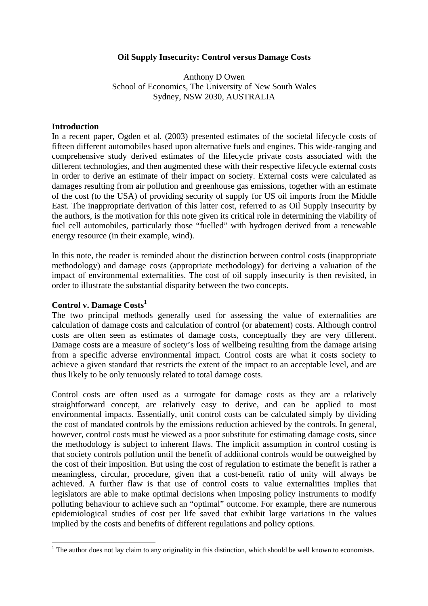## **Oil Supply Insecurity: Control versus Damage Costs**

Anthony D Owen School of Economics, The University of New South Wales Sydney, NSW 2030, AUSTRALIA

#### **Introduction**

In a recent paper, Ogden et al. (2003) presented estimates of the societal lifecycle costs of fifteen different automobiles based upon alternative fuels and engines. This wide-ranging and comprehensive study derived estimates of the lifecycle private costs associated with the different technologies, and then augmented these with their respective lifecycle external costs in order to derive an estimate of their impact on society. External costs were calculated as damages resulting from air pollution and greenhouse gas emissions, together with an estimate of the cost (to the USA) of providing security of supply for US oil imports from the Middle East. The inappropriate derivation of this latter cost, referred to as Oil Supply Insecurity by the authors, is the motivation for this note given its critical role in determining the viability of fuel cell automobiles, particularly those "fuelled" with hydrogen derived from a renewable energy resource (in their example, wind).

In this note, the reader is reminded about the distinction between control costs (inappropriate methodology) and damage costs (appropriate methodology) for deriving a valuation of the impact of environmental externalities. The cost of oil supply insecurity is then revisited, in order to illustrate the substantial disparity between the two concepts.

### Control v. Damage Costs<sup>1</sup>

 $\overline{\phantom{a}}$ 

The two principal methods generally used for assessing the value of externalities are calculation of damage costs and calculation of control (or abatement) costs. Although control costs are often seen as estimates of damage costs, conceptually they are very different. Damage costs are a measure of society's loss of wellbeing resulting from the damage arising from a specific adverse environmental impact. Control costs are what it costs society to achieve a given standard that restricts the extent of the impact to an acceptable level, and are thus likely to be only tenuously related to total damage costs.

Control costs are often used as a surrogate for damage costs as they are a relatively straightforward concept, are relatively easy to derive, and can be applied to most environmental impacts. Essentially, unit control costs can be calculated simply by dividing the cost of mandated controls by the emissions reduction achieved by the controls. In general, however, control costs must be viewed as a poor substitute for estimating damage costs, since the methodology is subject to inherent flaws. The implicit assumption in control costing is that society controls pollution until the benefit of additional controls would be outweighed by the cost of their imposition. But using the cost of regulation to estimate the benefit is rather a meaningless, circular, procedure, given that a cost-benefit ratio of unity will always be achieved. A further flaw is that use of control costs to value externalities implies that legislators are able to make optimal decisions when imposing policy instruments to modify polluting behaviour to achieve such an "optimal" outcome. For example, there are numerous epidemiological studies of cost per life saved that exhibit large variations in the values implied by the costs and benefits of different regulations and policy options.

 $<sup>1</sup>$  The author does not lay claim to any originality in this distinction, which should be well known to economists.</sup>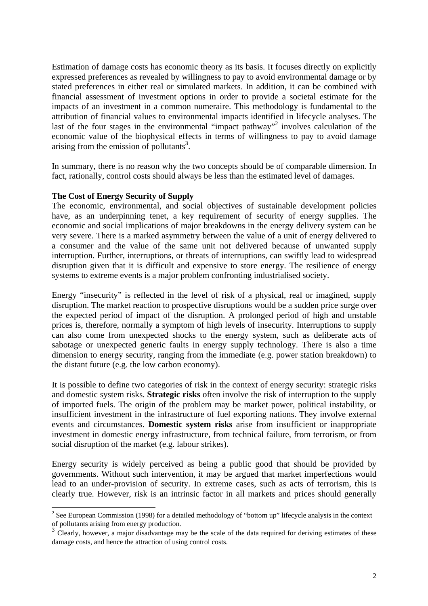Estimation of damage costs has economic theory as its basis. It focuses directly on explicitly expressed preferences as revealed by willingness to pay to avoid environmental damage or by stated preferences in either real or simulated markets. In addition, it can be combined with financial assessment of investment options in order to provide a societal estimate for the impacts of an investment in a common numeraire. This methodology is fundamental to the attribution of financial values to environmental impacts identified in lifecycle analyses. The last of the four stages in the environmental "impact pathway"<sup>2</sup> involves calculation of the economic value of the biophysical effects in terms of willingness to pay to avoid damage arising from the emission of pollutants<sup>3</sup>.

In summary, there is no reason why the two concepts should be of comparable dimension. In fact, rationally, control costs should always be less than the estimated level of damages.

## **The Cost of Energy Security of Supply**

The economic, environmental, and social objectives of sustainable development policies have, as an underpinning tenet, a key requirement of security of energy supplies. The economic and social implications of major breakdowns in the energy delivery system can be very severe. There is a marked asymmetry between the value of a unit of energy delivered to a consumer and the value of the same unit not delivered because of unwanted supply interruption. Further, interruptions, or threats of interruptions, can swiftly lead to widespread disruption given that it is difficult and expensive to store energy. The resilience of energy systems to extreme events is a major problem confronting industrialised society.

Energy "insecurity" is reflected in the level of risk of a physical, real or imagined, supply disruption. The market reaction to prospective disruptions would be a sudden price surge over the expected period of impact of the disruption. A prolonged period of high and unstable prices is, therefore, normally a symptom of high levels of insecurity. Interruptions to supply can also come from unexpected shocks to the energy system, such as deliberate acts of sabotage or unexpected generic faults in energy supply technology. There is also a time dimension to energy security, ranging from the immediate (e.g. power station breakdown) to the distant future (e.g. the low carbon economy).

It is possible to define two categories of risk in the context of energy security: strategic risks and domestic system risks. **Strategic risks** often involve the risk of interruption to the supply of imported fuels. The origin of the problem may be market power, political instability, or insufficient investment in the infrastructure of fuel exporting nations. They involve external events and circumstances. **Domestic system risks** arise from insufficient or inappropriate investment in domestic energy infrastructure, from technical failure, from terrorism, or from social disruption of the market (e.g. labour strikes).

Energy security is widely perceived as being a public good that should be provided by governments. Without such intervention, it may be argued that market imperfections would lead to an under-provision of security. In extreme cases, such as acts of terrorism, this is clearly true. However, risk is an intrinsic factor in all markets and prices should generally

 $\frac{1}{2}$ <sup>2</sup> See European Commission (1998) for a detailed methodology of "bottom up" lifecycle analysis in the context of pollutants arising from energy production.

<sup>&</sup>lt;sup>3</sup> Clearly, however, a major disadvantage may be the scale of the data required for deriving estimates of these damage costs, and hence the attraction of using control costs.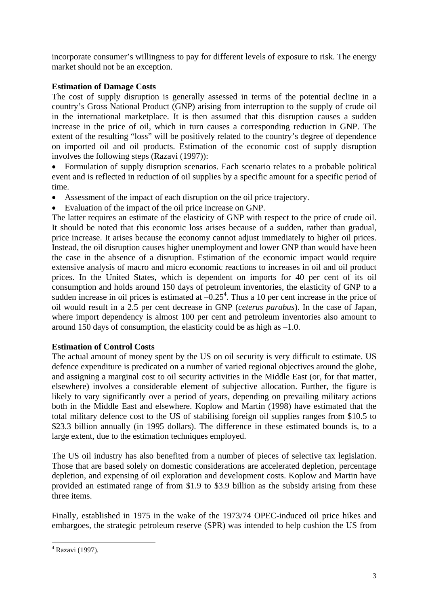incorporate consumer's willingness to pay for different levels of exposure to risk. The energy market should not be an exception.

# **Estimation of Damage Costs**

The cost of supply disruption is generally assessed in terms of the potential decline in a country's Gross National Product (GNP) arising from interruption to the supply of crude oil in the international marketplace. It is then assumed that this disruption causes a sudden increase in the price of oil, which in turn causes a corresponding reduction in GNP. The extent of the resulting "loss" will be positively related to the country's degree of dependence on imported oil and oil products. Estimation of the economic cost of supply disruption involves the following steps (Razavi (1997)):

• Formulation of supply disruption scenarios. Each scenario relates to a probable political event and is reflected in reduction of oil supplies by a specific amount for a specific period of time.

- Assessment of the impact of each disruption on the oil price trajectory.
- Evaluation of the impact of the oil price increase on GNP.

The latter requires an estimate of the elasticity of GNP with respect to the price of crude oil. It should be noted that this economic loss arises because of a sudden, rather than gradual, price increase. It arises because the economy cannot adjust immediately to higher oil prices. Instead, the oil disruption causes higher unemployment and lower GNP than would have been the case in the absence of a disruption. Estimation of the economic impact would require extensive analysis of macro and micro economic reactions to increases in oil and oil product prices. In the United States, which is dependent on imports for 40 per cent of its oil consumption and holds around 150 days of petroleum inventories, the elasticity of GNP to a sudden increase in oil prices is estimated at  $-0.25<sup>4</sup>$ . Thus a 10 per cent increase in the price of oil would result in a 2.5 per cent decrease in GNP (*ceterus parabus*). In the case of Japan, where import dependency is almost 100 per cent and petroleum inventories also amount to around 150 days of consumption, the elasticity could be as high as –1.0.

# **Estimation of Control Costs**

The actual amount of money spent by the US on oil security is very difficult to estimate. US defence expenditure is predicated on a number of varied regional objectives around the globe, and assigning a marginal cost to oil security activities in the Middle East (or, for that matter, elsewhere) involves a considerable element of subjective allocation. Further, the figure is likely to vary significantly over a period of years, depending on prevailing military actions both in the Middle East and elsewhere. Koplow and Martin (1998) have estimated that the total military defence cost to the US of stabilising foreign oil supplies ranges from \$10.5 to \$23.3 billion annually (in 1995 dollars). The difference in these estimated bounds is, to a large extent, due to the estimation techniques employed.

The US oil industry has also benefited from a number of pieces of selective tax legislation. Those that are based solely on domestic considerations are accelerated depletion, percentage depletion, and expensing of oil exploration and development costs. Koplow and Martin have provided an estimated range of from \$1.9 to \$3.9 billion as the subsidy arising from these three items.

Finally, established in 1975 in the wake of the 1973/74 OPEC-induced oil price hikes and embargoes, the strategic petroleum reserve (SPR) was intended to help cushion the US from

 $\frac{1}{4}$  $4$  Razavi (1997).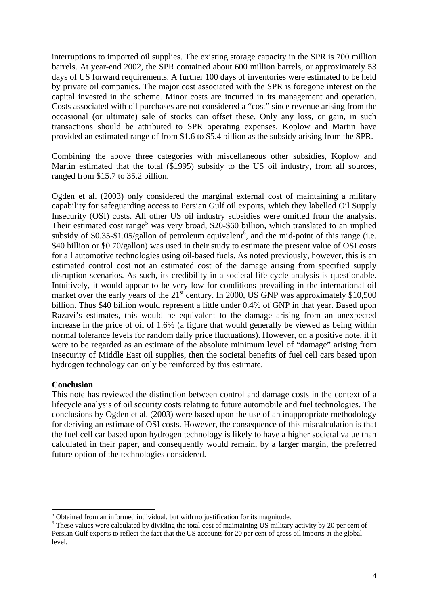interruptions to imported oil supplies. The existing storage capacity in the SPR is 700 million barrels. At year-end 2002, the SPR contained about 600 million barrels, or approximately 53 days of US forward requirements. A further 100 days of inventories were estimated to be held by private oil companies. The major cost associated with the SPR is foregone interest on the capital invested in the scheme. Minor costs are incurred in its management and operation. Costs associated with oil purchases are not considered a "cost" since revenue arising from the occasional (or ultimate) sale of stocks can offset these. Only any loss, or gain, in such transactions should be attributed to SPR operating expenses. Koplow and Martin have provided an estimated range of from \$1.6 to \$5.4 billion as the subsidy arising from the SPR.

Combining the above three categories with miscellaneous other subsidies, Koplow and Martin estimated that the total (\$1995) subsidy to the US oil industry, from all sources, ranged from \$15.7 to 35.2 billion.

Ogden et al. (2003) only considered the marginal external cost of maintaining a military capability for safeguarding access to Persian Gulf oil exports, which they labelled Oil Supply Insecurity (OSI) costs. All other US oil industry subsidies were omitted from the analysis. Their estimated cost range<sup>5</sup> was very broad, \$20-\$60 billion, which translated to an implied subsidy of \$0.35-\$1.05/gallon of petroleum equivalent<sup>6</sup>, and the mid-point of this range (i.e. \$40 billion or \$0.70/gallon) was used in their study to estimate the present value of OSI costs for all automotive technologies using oil-based fuels. As noted previously, however, this is an estimated control cost not an estimated cost of the damage arising from specified supply disruption scenarios. As such, its credibility in a societal life cycle analysis is questionable. Intuitively, it would appear to be very low for conditions prevailing in the international oil market over the early years of the  $21<sup>st</sup>$  century. In 2000, US GNP was approximately \$10,500 billion. Thus \$40 billion would represent a little under 0.4% of GNP in that year. Based upon Razavi's estimates, this would be equivalent to the damage arising from an unexpected increase in the price of oil of 1.6% (a figure that would generally be viewed as being within normal tolerance levels for random daily price fluctuations). However, on a positive note, if it were to be regarded as an estimate of the absolute minimum level of "damage" arising from insecurity of Middle East oil supplies, then the societal benefits of fuel cell cars based upon hydrogen technology can only be reinforced by this estimate.

## **Conclusion**

This note has reviewed the distinction between control and damage costs in the context of a lifecycle analysis of oil security costs relating to future automobile and fuel technologies. The conclusions by Ogden et al. (2003) were based upon the use of an inappropriate methodology for deriving an estimate of OSI costs. However, the consequence of this miscalculation is that the fuel cell car based upon hydrogen technology is likely to have a higher societal value than calculated in their paper, and consequently would remain, by a larger margin, the preferred future option of the technologies considered.

 <sup>5</sup>  $<sup>5</sup>$  Obtained from an informed individual, but with no justification for its magnitude.</sup>

<sup>&</sup>lt;sup>6</sup> These values were calculated by dividing the total cost of maintaining US military activity by 20 per cent of Persian Gulf exports to reflect the fact that the US accounts for 20 per cent of gross oil imports at the global level.